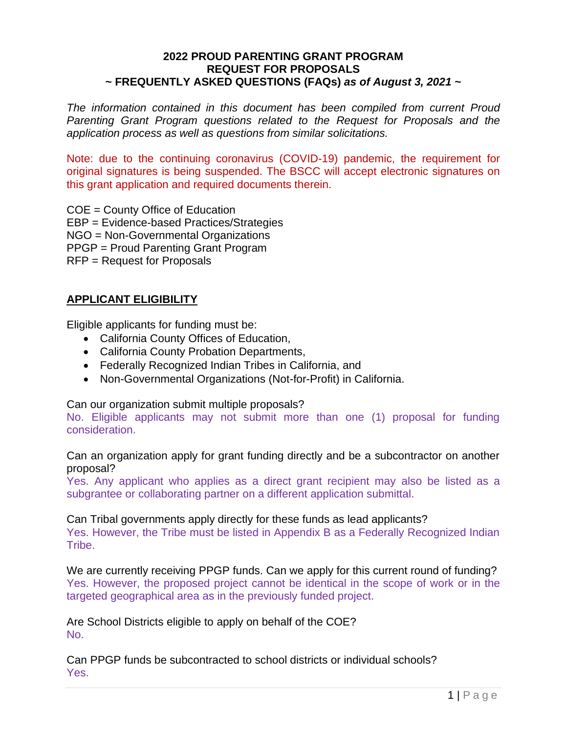#### **2022 PROUD PARENTING GRANT PROGRAM REQUEST FOR PROPOSALS ~ FREQUENTLY ASKED QUESTIONS (FAQs)** *as of August 3, 2021* **~**

*The information contained in this document has been compiled from current Proud Parenting Grant Program questions related to the Request for Proposals and the application process as well as questions from similar solicitations.*

Note: due to the continuing coronavirus (COVID-19) pandemic, the requirement for original signatures is being suspended. The BSCC will accept electronic signatures on this grant application and required documents therein.

COE = County Office of Education EBP = Evidence-based Practices/Strategies NGO = Non-Governmental Organizations PPGP = Proud Parenting Grant Program RFP = Request for Proposals

# **APPLICANT ELIGIBILITY**

Eligible applicants for funding must be:

- California County Offices of Education,
- California County Probation Departments,
- Federally Recognized Indian Tribes in California, and
- Non-Governmental Organizations (Not-for-Profit) in California.

Can our organization submit multiple proposals?

No. Eligible applicants may not submit more than one (1) proposal for funding consideration.

Can an organization apply for grant funding directly and be a subcontractor on another proposal?

Yes. Any applicant who applies as a direct grant recipient may also be listed as a subgrantee or collaborating partner on a different application submittal.

#### Can Tribal governments apply directly for these funds as lead applicants?

Yes. However, the Tribe must be listed in Appendix B as a Federally Recognized Indian Tribe.

We are currently receiving PPGP funds. Can we apply for this current round of funding? Yes. However, the proposed project cannot be identical in the scope of work or in the targeted geographical area as in the previously funded project.

Are School Districts eligible to apply on behalf of the COE? No.

Can PPGP funds be subcontracted to school districts or individual schools? Yes.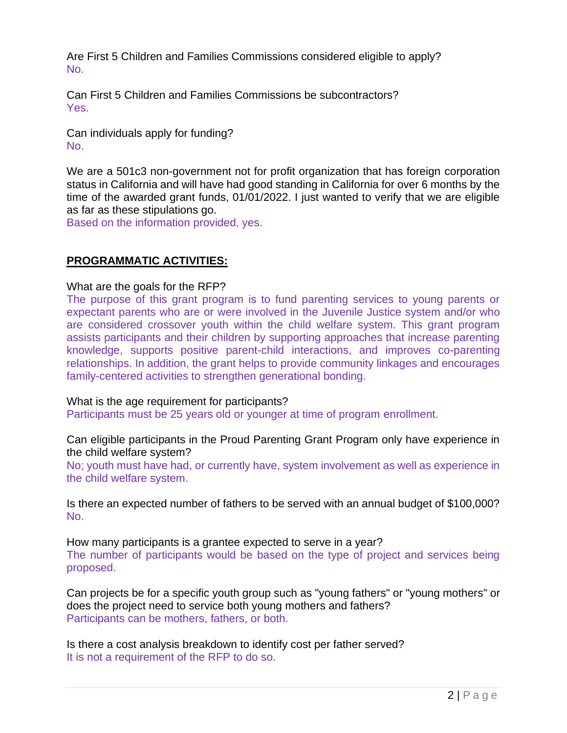Are First 5 Children and Families Commissions considered eligible to apply? No.

Can First 5 Children and Families Commissions be subcontractors? Yes.

Can individuals apply for funding? No.

We are a 501c3 non-government not for profit organization that has foreign corporation status in California and will have had good standing in California for over 6 months by the time of the awarded grant funds, 01/01/2022. I just wanted to verify that we are eligible as far as these stipulations go.

Based on the information provided, yes.

## **PROGRAMMATIC ACTIVITIES:**

What are the goals for the RFP?

The purpose of this grant program is to fund parenting services to young parents or expectant parents who are or were involved in the Juvenile Justice system and/or who are considered crossover youth within the child welfare system. This grant program assists participants and their children by supporting approaches that increase parenting knowledge, supports positive parent-child interactions, and improves co-parenting relationships. In addition, the grant helps to provide community linkages and encourages family-centered activities to strengthen generational bonding.

What is the age requirement for participants?

Participants must be 25 years old or younger at time of program enrollment.

Can eligible participants in the Proud Parenting Grant Program only have experience in the child welfare system?

No; youth must have had, or currently have, system involvement as well as experience in the child welfare system.

Is there an expected number of fathers to be served with an annual budget of \$100,000? No.

How many participants is a grantee expected to serve in a year? The number of participants would be based on the type of project and services being proposed.

Can projects be for a specific youth group such as "young fathers" or "young mothers" or does the project need to service both young mothers and fathers? Participants can be mothers, fathers, or both.

Is there a cost analysis breakdown to identify cost per father served? It is not a requirement of the RFP to do so.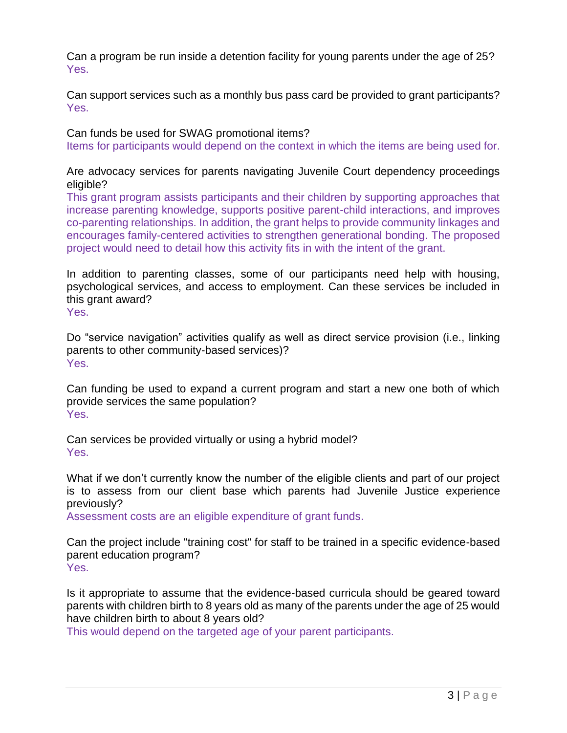Can a program be run inside a detention facility for young parents under the age of 25? Yes.

Can support services such as a monthly bus pass card be provided to grant participants? Yes.

Can funds be used for SWAG promotional items?

Items for participants would depend on the context in which the items are being used for.

Are advocacy services for parents navigating Juvenile Court dependency proceedings eligible?

This grant program assists participants and their children by supporting approaches that increase parenting knowledge, supports positive parent-child interactions, and improves co-parenting relationships. In addition, the grant helps to provide community linkages and encourages family-centered activities to strengthen generational bonding. The proposed project would need to detail how this activity fits in with the intent of the grant.

In addition to parenting classes, some of our participants need help with housing, psychological services, and access to employment. Can these services be included in this grant award?

Yes.

Do "service navigation" activities qualify as well as direct service provision (i.e., linking parents to other community-based services)? Yes.

Can funding be used to expand a current program and start a new one both of which provide services the same population? Yes.

Can services be provided virtually or using a hybrid model? Yes.

What if we don't currently know the number of the eligible clients and part of our project is to assess from our client base which parents had Juvenile Justice experience previously?

Assessment costs are an eligible expenditure of grant funds.

Can the project include "training cost" for staff to be trained in a specific evidence-based parent education program? Yes.

Is it appropriate to assume that the evidence-based curricula should be geared toward parents with children birth to 8 years old as many of the parents under the age of 25 would have children birth to about 8 years old?

This would depend on the targeted age of your parent participants.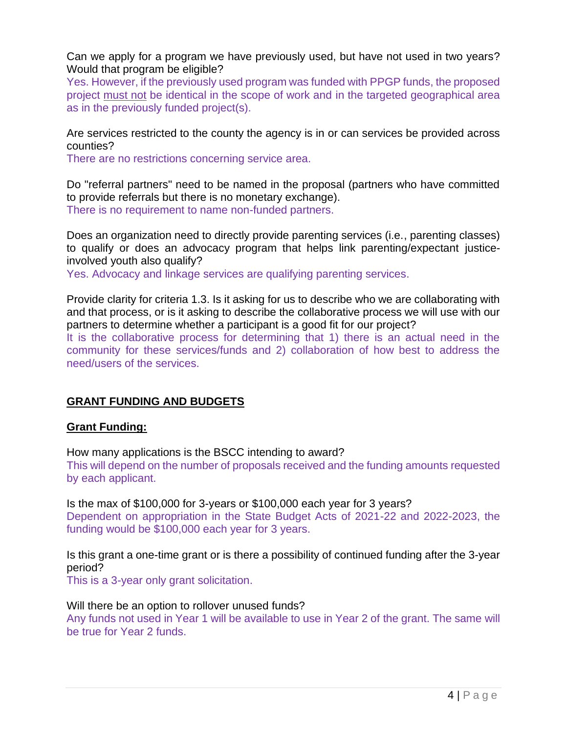Can we apply for a program we have previously used, but have not used in two years? Would that program be eligible?

Yes. However, if the previously used program was funded with PPGP funds, the proposed project must not be identical in the scope of work and in the targeted geographical area as in the previously funded project(s).

Are services restricted to the county the agency is in or can services be provided across counties?

There are no restrictions concerning service area.

Do "referral partners" need to be named in the proposal (partners who have committed to provide referrals but there is no monetary exchange). There is no requirement to name non-funded partners.

Does an organization need to directly provide parenting services (i.e., parenting classes) to qualify or does an advocacy program that helps link parenting/expectant justiceinvolved youth also qualify?

Yes. Advocacy and linkage services are qualifying parenting services.

Provide clarity for criteria 1.3. Is it asking for us to describe who we are collaborating with and that process, or is it asking to describe the collaborative process we will use with our partners to determine whether a participant is a good fit for our project?

It is the collaborative process for determining that 1) there is an actual need in the community for these services/funds and 2) collaboration of how best to address the need/users of the services.

### **GRANT FUNDING AND BUDGETS**

#### **Grant Funding:**

How many applications is the BSCC intending to award?

This will depend on the number of proposals received and the funding amounts requested by each applicant.

Is the max of \$100,000 for 3-years or \$100,000 each year for 3 years? Dependent on appropriation in the State Budget Acts of 2021-22 and 2022-2023, the funding would be \$100,000 each year for 3 years.

Is this grant a one-time grant or is there a possibility of continued funding after the 3-year period?

This is a 3-year only grant solicitation.

Will there be an option to rollover unused funds? Any funds not used in Year 1 will be available to use in Year 2 of the grant. The same will be true for Year 2 funds.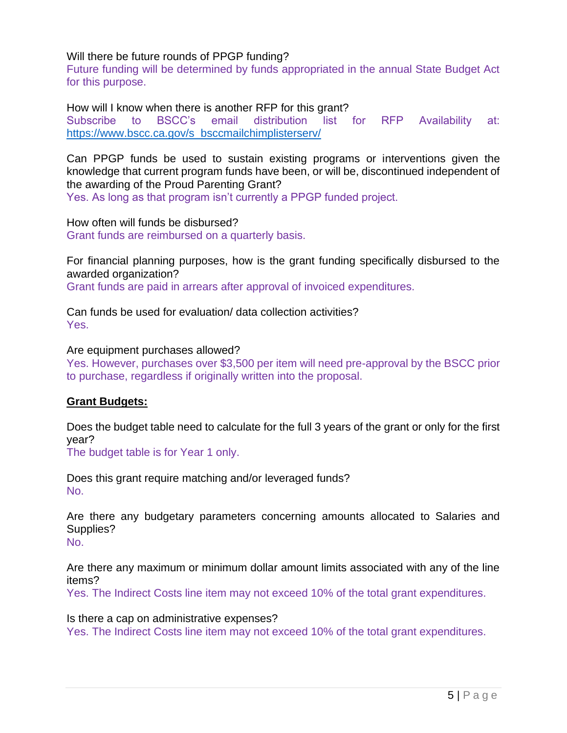Will there be future rounds of PPGP funding?

Future funding will be determined by funds appropriated in the annual State Budget Act for this purpose.

How will I know when there is another RFP for this grant? Subscribe to BSCC's email distribution list for RFP Availability at: [https://www.bscc.ca.gov/s\\_bsccmailchimplisterserv/](https://www.bscc.ca.gov/s_bsccmailchimplisterserv/)

Can PPGP funds be used to sustain existing programs or interventions given the knowledge that current program funds have been, or will be, discontinued independent of the awarding of the Proud Parenting Grant?

Yes. As long as that program isn't currently a PPGP funded project.

How often will funds be disbursed? Grant funds are reimbursed on a quarterly basis.

For financial planning purposes, how is the grant funding specifically disbursed to the awarded organization? Grant funds are paid in arrears after approval of invoiced expenditures.

Can funds be used for evaluation/ data collection activities? Yes.

Are equipment purchases allowed?

Yes. However, purchases over \$3,500 per item will need pre-approval by the BSCC prior to purchase, regardless if originally written into the proposal.

### **Grant Budgets:**

Does the budget table need to calculate for the full 3 years of the grant or only for the first year?

The budget table is for Year 1 only.

Does this grant require matching and/or leveraged funds? No.

Are there any budgetary parameters concerning amounts allocated to Salaries and Supplies? No.

Are there any maximum or minimum dollar amount limits associated with any of the line items?

Yes. The Indirect Costs line item may not exceed 10% of the total grant expenditures.

Is there a cap on administrative expenses?

Yes. The Indirect Costs line item may not exceed 10% of the total grant expenditures.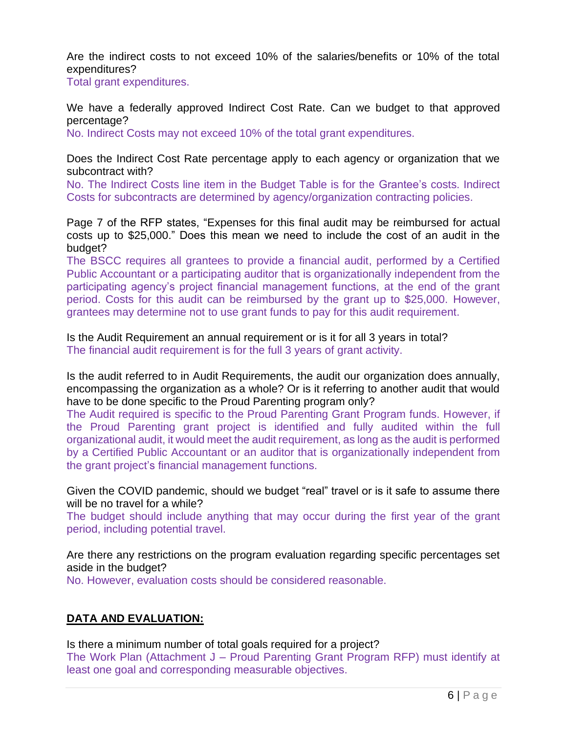Are the indirect costs to not exceed 10% of the salaries/benefits or 10% of the total expenditures?

Total grant expenditures.

We have a federally approved Indirect Cost Rate. Can we budget to that approved percentage?

No. Indirect Costs may not exceed 10% of the total grant expenditures.

Does the Indirect Cost Rate percentage apply to each agency or organization that we subcontract with?

No. The Indirect Costs line item in the Budget Table is for the Grantee's costs. Indirect Costs for subcontracts are determined by agency/organization contracting policies.

Page 7 of the RFP states, "Expenses for this final audit may be reimbursed for actual costs up to \$25,000." Does this mean we need to include the cost of an audit in the budget?

The BSCC requires all grantees to provide a financial audit, performed by a Certified Public Accountant or a participating auditor that is organizationally independent from the participating agency's project financial management functions, at the end of the grant period. Costs for this audit can be reimbursed by the grant up to \$25,000. However, grantees may determine not to use grant funds to pay for this audit requirement.

Is the Audit Requirement an annual requirement or is it for all 3 years in total? The financial audit requirement is for the full 3 years of grant activity.

Is the audit referred to in Audit Requirements, the audit our organization does annually, encompassing the organization as a whole? Or is it referring to another audit that would have to be done specific to the Proud Parenting program only?

The Audit required is specific to the Proud Parenting Grant Program funds. However, if the Proud Parenting grant project is identified and fully audited within the full organizational audit, it would meet the audit requirement, as long as the audit is performed by a Certified Public Accountant or an auditor that is organizationally independent from the grant project's financial management functions.

Given the COVID pandemic, should we budget "real" travel or is it safe to assume there will be no travel for a while?

The budget should include anything that may occur during the first year of the grant period, including potential travel.

Are there any restrictions on the program evaluation regarding specific percentages set aside in the budget?

No. However, evaluation costs should be considered reasonable.

# **DATA AND EVALUATION:**

Is there a minimum number of total goals required for a project?

The Work Plan (Attachment J – Proud Parenting Grant Program RFP) must identify at least one goal and corresponding measurable objectives.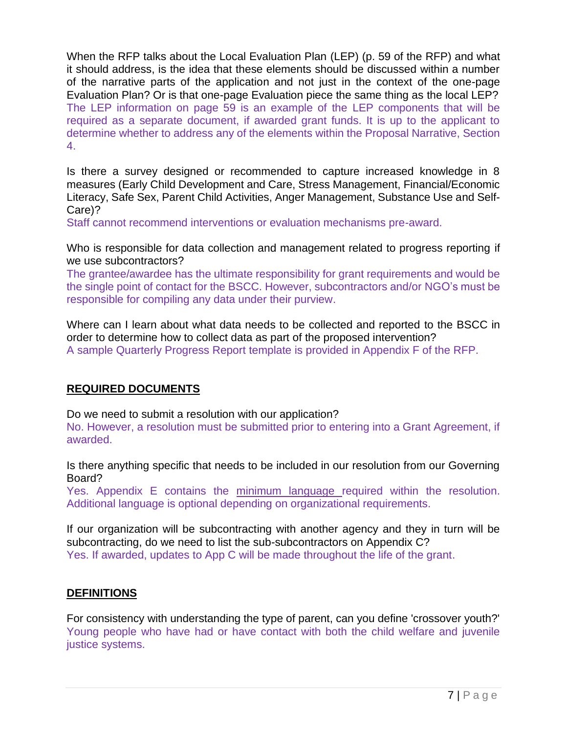When the RFP talks about the Local Evaluation Plan (LEP) (p. 59 of the RFP) and what it should address, is the idea that these elements should be discussed within a number of the narrative parts of the application and not just in the context of the one-page Evaluation Plan? Or is that one-page Evaluation piece the same thing as the local LEP? The LEP information on page 59 is an example of the LEP components that will be required as a separate document, if awarded grant funds. It is up to the applicant to determine whether to address any of the elements within the Proposal Narrative, Section 4.

Is there a survey designed or recommended to capture increased knowledge in 8 measures (Early Child Development and Care, Stress Management, Financial/Economic Literacy, Safe Sex, Parent Child Activities, Anger Management, Substance Use and Self-Care)?

Staff cannot recommend interventions or evaluation mechanisms pre-award.

Who is responsible for data collection and management related to progress reporting if we use subcontractors?

The grantee/awardee has the ultimate responsibility for grant requirements and would be the single point of contact for the BSCC. However, subcontractors and/or NGO's must be responsible for compiling any data under their purview.

Where can I learn about what data needs to be collected and reported to the BSCC in order to determine how to collect data as part of the proposed intervention? A sample Quarterly Progress Report template is provided in Appendix F of the RFP.

# **REQUIRED DOCUMENTS**

Do we need to submit a resolution with our application?

No. However, a resolution must be submitted prior to entering into a Grant Agreement, if awarded.

Is there anything specific that needs to be included in our resolution from our Governing Board?

Yes. Appendix E contains the minimum language required within the resolution. Additional language is optional depending on organizational requirements.

If our organization will be subcontracting with another agency and they in turn will be subcontracting, do we need to list the sub-subcontractors on Appendix C? Yes. If awarded, updates to App C will be made throughout the life of the grant.

# **DEFINITIONS**

For consistency with understanding the type of parent, can you define 'crossover youth?' Young people who have had or have contact with both the child welfare and juvenile justice systems.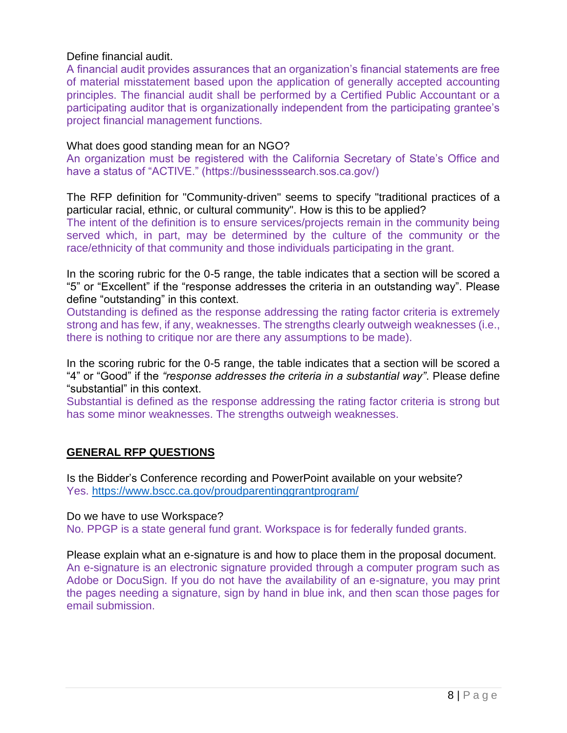### Define financial audit.

A financial audit provides assurances that an organization's financial statements are free of material misstatement based upon the application of generally accepted accounting principles. The financial audit shall be performed by a Certified Public Accountant or a participating auditor that is organizationally independent from the participating grantee's project financial management functions.

#### What does good standing mean for an NGO?

An organization must be registered with the California Secretary of State's Office and have a status of "ACTIVE." (https://businesssearch.sos.ca.gov/)

The RFP definition for "Community-driven" seems to specify "traditional practices of a particular racial, ethnic, or cultural community". How is this to be applied? The intent of the definition is to ensure services/projects remain in the community being served which, in part, may be determined by the culture of the community or the race/ethnicity of that community and those individuals participating in the grant.

In the scoring rubric for the 0-5 range, the table indicates that a section will be scored a "5" or "Excellent" if the "response addresses the criteria in an outstanding way". Please define "outstanding" in this context.

Outstanding is defined as the response addressing the rating factor criteria is extremely strong and has few, if any, weaknesses. The strengths clearly outweigh weaknesses (i.e., there is nothing to critique nor are there any assumptions to be made).

In the scoring rubric for the 0-5 range, the table indicates that a section will be scored a "4" or "Good" if the *"response addresses the criteria in a substantial way"*. Please define "substantial" in this context.

Substantial is defined as the response addressing the rating factor criteria is strong but has some minor weaknesses. The strengths outweigh weaknesses.

# **GENERAL RFP QUESTIONS**

Is the Bidder's Conference recording and PowerPoint available on your website? Yes. <https://www.bscc.ca.gov/proudparentinggrantprogram/>

Do we have to use Workspace? No. PPGP is a state general fund grant. Workspace is for federally funded grants.

Please explain what an e-signature is and how to place them in the proposal document. An e-signature is an electronic signature provided through a computer program such as Adobe or DocuSign. If you do not have the availability of an e-signature, you may print the pages needing a signature, sign by hand in blue ink, and then scan those pages for email submission.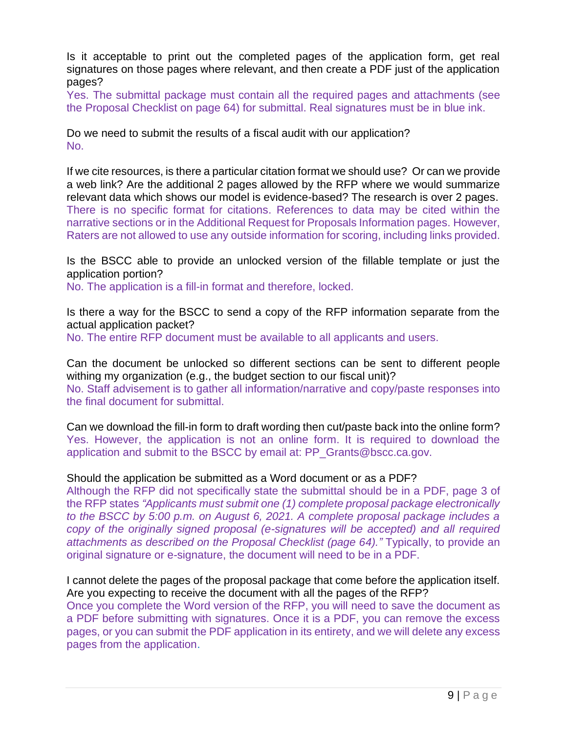Is it acceptable to print out the completed pages of the application form, get real signatures on those pages where relevant, and then create a PDF just of the application pages?

Yes. The submittal package must contain all the required pages and attachments (see the Proposal Checklist on page 64) for submittal. Real signatures must be in blue ink.

Do we need to submit the results of a fiscal audit with our application? No.

If we cite resources, is there a particular citation format we should use? Or can we provide a web link? Are the additional 2 pages allowed by the RFP where we would summarize relevant data which shows our model is evidence-based? The research is over 2 pages. There is no specific format for citations. References to data may be cited within the narrative sections or in the Additional Request for Proposals Information pages. However, Raters are not allowed to use any outside information for scoring, including links provided.

Is the BSCC able to provide an unlocked version of the fillable template or just the application portion?

No. The application is a fill-in format and therefore, locked.

Is there a way for the BSCC to send a copy of the RFP information separate from the actual application packet? No. The entire RFP document must be available to all applicants and users.

Can the document be unlocked so different sections can be sent to different people withing my organization (e.g., the budget section to our fiscal unit)? No. Staff advisement is to gather all information/narrative and copy/paste responses into the final document for submittal.

Can we download the fill-in form to draft wording then cut/paste back into the online form? Yes. However, the application is not an online form. It is required to download the application and submit to the BSCC by email at: PP\_Grants@bscc.ca.gov.

#### Should the application be submitted as a Word document or as a PDF?

Although the RFP did not specifically state the submittal should be in a PDF, page 3 of the RFP states *"Applicants must submit one (1) complete proposal package electronically to the BSCC by 5:00 p.m. on August 6, 2021. A complete proposal package includes a copy of the originally signed proposal (e-signatures will be accepted) and all required attachments as described on the Proposal Checklist (page 64)."* Typically, to provide an original signature or e-signature, the document will need to be in a PDF.

#### I cannot delete the pages of the proposal package that come before the application itself. Are you expecting to receive the document with all the pages of the RFP?

Once you complete the Word version of the RFP, you will need to save the document as a PDF before submitting with signatures. Once it is a PDF, you can remove the excess pages, or you can submit the PDF application in its entirety, and we will delete any excess pages from the application.